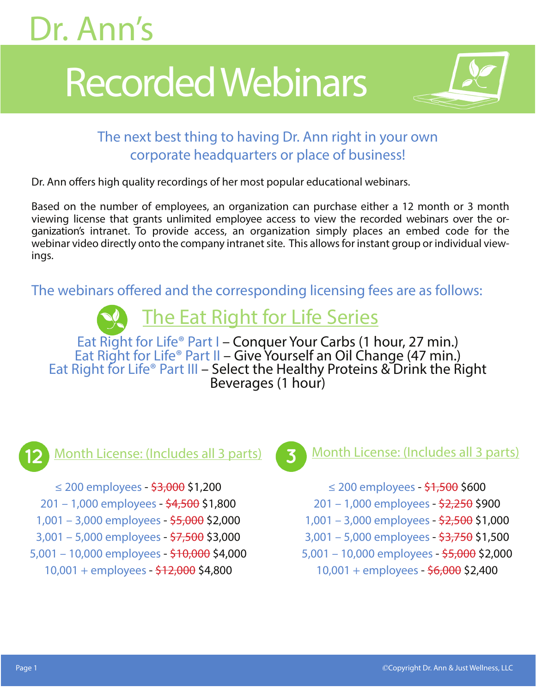# Recorded Webinars



#### The next best thing to having Dr. Ann right in your own corporate headquarters or place of business!

Dr. Ann offers high quality recordings of her most popular educational webinars.

Based on the number of employees, an organization can purchase either a 12 month or 3 month viewing license that grants unlimited employee access to view the recorded webinars over the organization's intranet. To provide access, an organization simply places an embed code for the webinar video directly onto the company intranet site. This allows for instant group or individual viewings.

The webinars offered and the corresponding licensing fees are as follows:

#### The Eat Right for Life Series

Eat Right for Life® Part I – Conquer Your Carbs (1 hour, 27 min.)<br>Eat Right for Life® Part II – Give Yourself an Oil Change (47 min.) Eat Right for Life® Part III – Select the Healthy Proteins & Drink the Right Beverages (1 hour)



≤ 200 employees - <del>\$3,000</del> \$1,200 201 – 1,000 employees - \$4,500 \$1,800 1,001 – 3,000 employees - \$5,000 \$2,000 3,001 – 5,000 employees - \$7,500 \$3,000 5,001 – 10,000 employees - \$10,000 \$4,000 10,001 + employees - \$12,000 \$4,800



#### Month License: (Includes all 3 parts) (3) Month License: (Includes all 3 parts)

- ≤ 200 employees \$1,500 \$600
- 201 1,000 employees \$2,250 \$900
- 1,001 3,000 employees \$2,500 \$1,000
- 3,001 5,000 employees \$3,750 \$1,500
- 5,001 10,000 employees \$5,000 \$2,000
	- 10,001 + employees \$6,000 \$2,400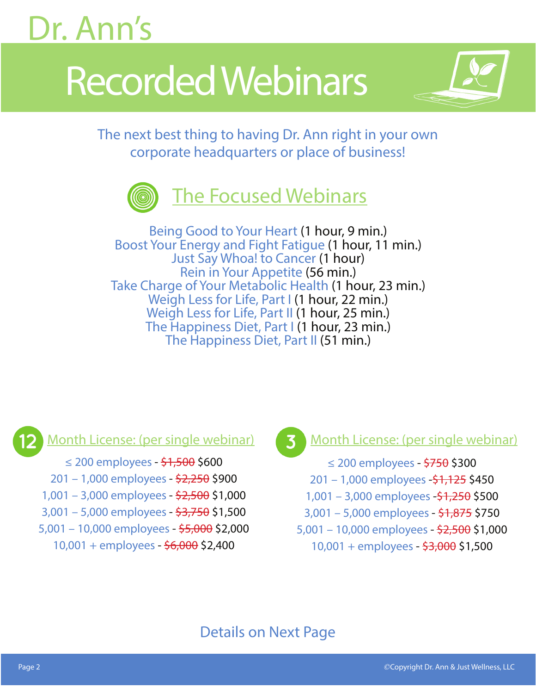# Recorded Webinars



The next best thing to having Dr. Ann right in your own corporate headquarters or place of business!



Being Good to Your Heart (1 hour, 9 min.) Boost Your Energy and Fight Fatigue (1 hour, 11 min.) Just Say Whoa! to Cancer (1 hour) Rein in Your Appetite (56 min.) Take Charge of Your Metabolic Health (1 hour, 23 min.) Weigh Less for Life, Part I (1 hour, 22 min.) Weigh Less for Life, Part II (1 hour, 25 min.) The Happiness Diet, Part I (1 hour, 23 min.) The Happiness Diet, Part II (51 min.)

≤ 200 employees - \$1,500 \$600 201 – 1,000 employees - \$2,250 \$900 1,001 – 3,000 employees - \$2,500 \$1,000 3,001 – 5,000 employees - \$3,750 \$1,500 5,001 – 10,000 employees - \$5,000 \$2,000 10,001 + employees - \$6,000 \$2,400

Month License: (per single webinar) **Month License: (per single webinar)** 

≤ 200 employees - \$750 \$300 201 – 1,000 employees -\$1,125 \$450 1,001 – 3,000 employees -\$1,250 \$500 3,001 – 5,000 employees - \$1,875 \$750 5,001 – 10,000 employees - \$2,500 \$1,000 10,001 + employees - \$3,000 \$1,500

#### Details on Next Page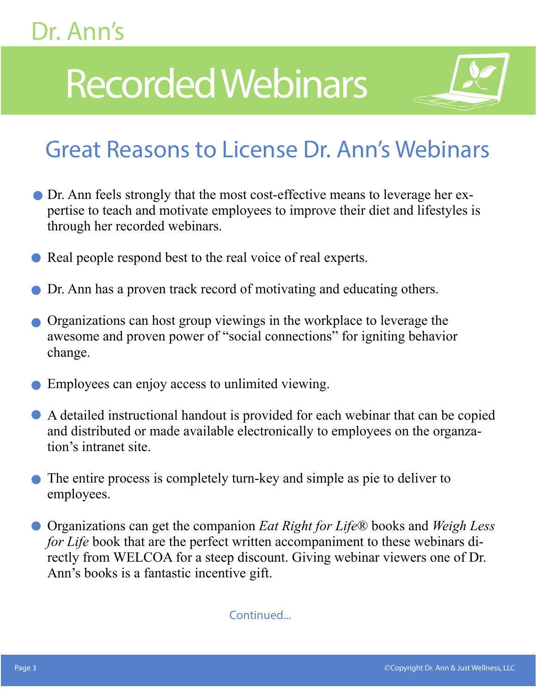# Recorded Webinars



## Great Reasons to License Dr. Ann's Webinars

- Dr. Ann feels strongly that the most cost-effective means to leverage her expertise to teach and motivate employees to improve their diet and lifestyles is through her recorded webinars.
- Real people respond best to the real voice of real experts.
- Dr. Ann has a proven track record of motivating and educating others.
- Organizations can host group viewings in the workplace to leverage the awesome and proven power of "social connections" for igniting behavior change.
- Employees can enjoy access to unlimited viewing.
- A detailed instructional handout is provided for each webinar that can be copied and distributed or made available electronically to employees on the organzation's intranet site.
- The entire process is completely turn-key and simple as pie to deliver to employees.
- Organizations can get the companion *Eat Right for Life*® books and *Weigh Less for Life* book that are the perfect written accompaniment to these webinars directly from WELCOA for a steep discount. Giving webinar viewers one of Dr. Ann's books is a fantastic incentive gift.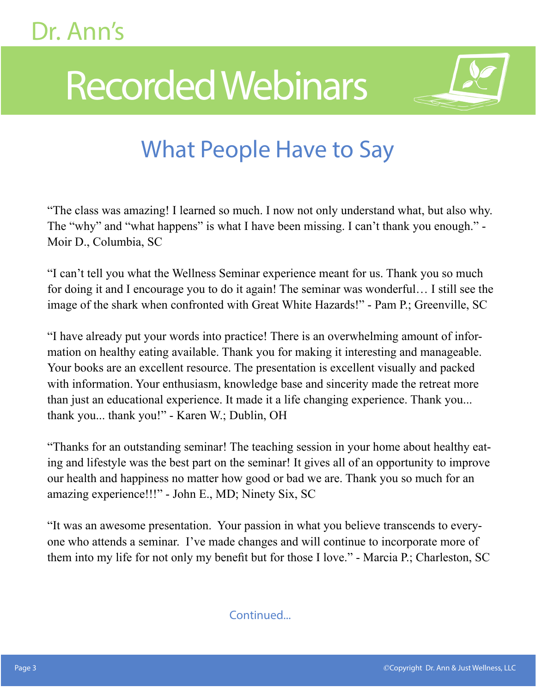# Recorded Webinars



## What People Have to Say

"The class was amazing! I learned so much. I now not only understand what, but also why. The "why" and "what happens" is what I have been missing. I can't thank you enough." -Moir D., Columbia, SC

"I can't tell you what the Wellness Seminar experience meant for us. Thank you so much for doing it and I encourage you to do it again! The seminar was wonderful… I still see the image of the shark when confronted with Great White Hazards!" - Pam P.; Greenville, SC

"I have already put your words into practice! There is an overwhelming amount of information on healthy eating available. Thank you for making it interesting and manageable. Your books are an excellent resource. The presentation is excellent visually and packed with information. Your enthusiasm, knowledge base and sincerity made the retreat more than just an educational experience. It made it a life changing experience. Thank you... thank you... thank you!" - Karen W.; Dublin, OH

"Thanks for an outstanding seminar! The teaching session in your home about healthy eating and lifestyle was the best part on the seminar! It gives all of an opportunity to improve our health and happiness no matter how good or bad we are. Thank you so much for an amazing experience!!!" - John E., MD; Ninety Six, SC

"It was an awesome presentation. Your passion in what you believe transcends to everyone who attends a seminar. I've made changes and will continue to incorporate more of them into my life for not only my benefit but for those I love." - Marcia P.; Charleston, SC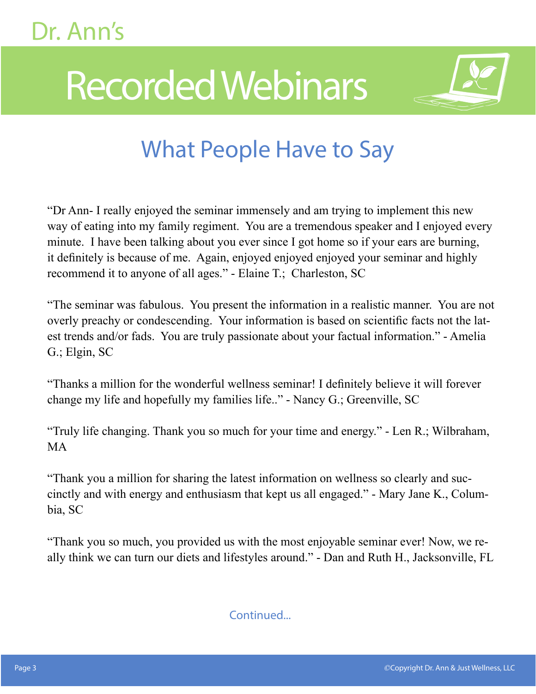# Recorded Webinars



### What People Have to Say

"Dr Ann- I really enjoyed the seminar immensely and am trying to implement this new way of eating into my family regiment. You are a tremendous speaker and I enjoyed every minute. I have been talking about you ever since I got home so if your ears are burning, it definitely is because of me. Again, enjoyed enjoyed enjoyed your seminar and highly recommend it to anyone of all ages." - Elaine T.; Charleston, SC

"The seminar was fabulous. You present the information in a realistic manner. You are not overly preachy or condescending. Your information is based on scientific facts not the latest trends and/or fads. You are truly passionate about your factual information." - Amelia G.; Elgin, SC

"Thanks a million for the wonderful wellness seminar! I definitely believe it will forever change my life and hopefully my families life.." - Nancy G.; Greenville, SC

"Truly life changing. Thank you so much for your time and energy." - Len R.; Wilbraham, MA

"Thank you a million for sharing the latest information on wellness so clearly and succinctly and with energy and enthusiasm that kept us all engaged." - Mary Jane K., Columbia, SC

"Thank you so much, you provided us with the most enjoyable seminar ever! Now, we really think we can turn our diets and lifestyles around." - Dan and Ruth H., Jacksonville, FL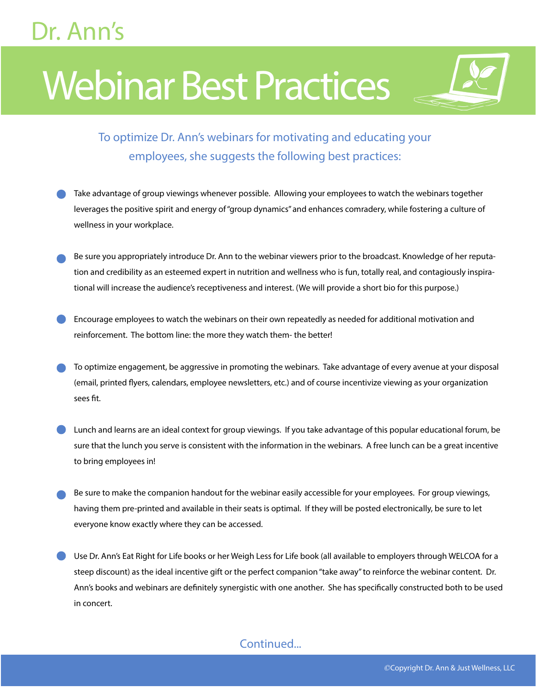# Webinar Best Practices

#### To optimize Dr. Ann's webinars for motivating and educating your employees, she suggests the following best practices:

- Take advantage of group viewings whenever possible. Allowing your employees to watch the webinars together leverages the positive spirit and energy of "group dynamics" and enhances comradery, while fostering a culture of wellness in your workplace.
- Be sure you appropriately introduce Dr. Ann to the webinar viewers prior to the broadcast. Knowledge of her reputation and credibility as an esteemed expert in nutrition and wellness who is fun, totally real, and contagiously inspirational will increase the audience's receptiveness and interest. (We will provide a short bio for this purpose.)
- Encourage employees to watch the webinars on their own repeatedly as needed for additional motivation and reinforcement. The bottom line: the more they watch them- the better!
- To optimize engagement, be aggressive in promoting the webinars. Take advantage of every avenue at your disposal (email, printed flyers, calendars, employee newsletters, etc.) and of course incentivize viewing as your organization sees fit.
- Lunch and learns are an ideal context for group viewings. If you take advantage of this popular educational forum, be sure that the lunch you serve is consistent with the information in the webinars. A free lunch can be a great incentive to bring employees in!
- Be sure to make the companion handout for the webinar easily accessible for your employees. For group viewings, having them pre-printed and available in their seats is optimal. If they will be posted electronically, be sure to let everyone know exactly where they can be accessed.
- Use Dr. Ann's Eat Right for Life books or her Weigh Less for Life book (all available to employers through WELCOA for a steep discount) as the ideal incentive gift or the perfect companion "take away" to reinforce the webinar content. Dr. Ann's books and webinars are definitely synergistic with one another. She has specifically constructed both to be used in concert.